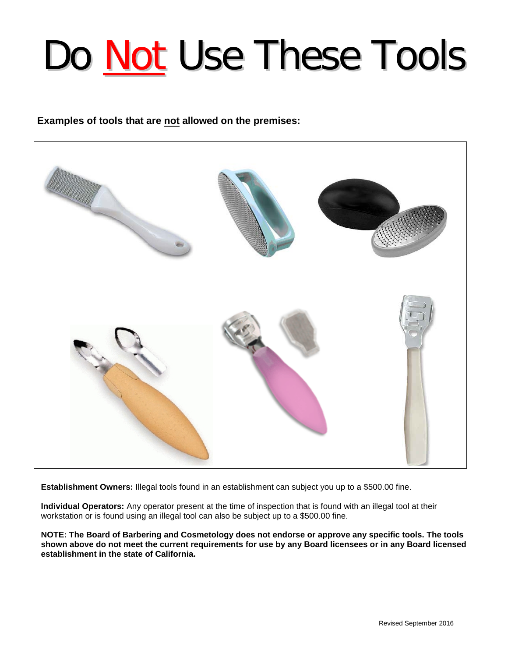## Do Not Use These Tools

## **Examples of tools that are not allowed on the premises:**



**Establishment Owners:** Illegal tools found in an establishment can subject you up to a \$500.00 fine.

**Individual Operators:** Any operator present at the time of inspection that is found with an illegal tool at their workstation or is found using an illegal tool can also be subject up to a \$500.00 fine.

**NOTE: The Board of Barbering and Cosmetology does not endorse or approve any specific tools. The tools shown above do not meet the current requirements for use by any Board licensees or in any Board licensed establishment in the state of California.**